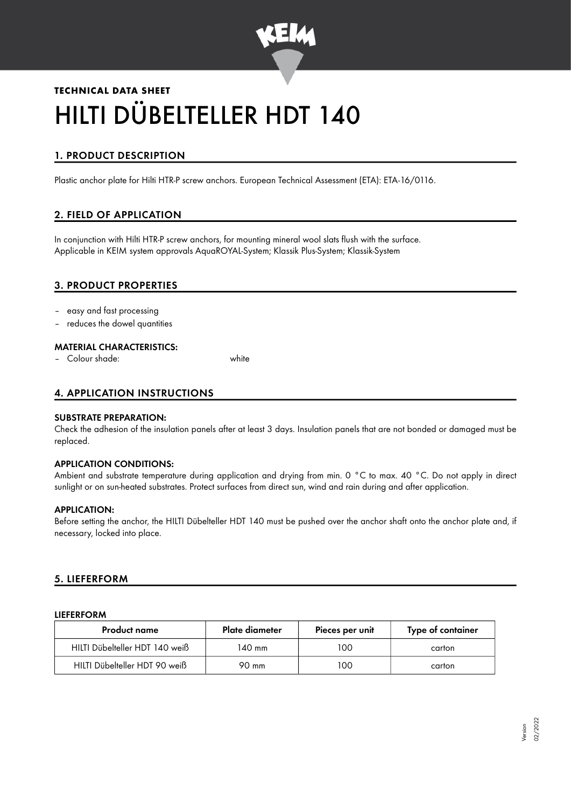

# **TECHNICAL DATA SHEET** HILTI DÜBELTELLER HDT 140

# 1. PRODUCT DESCRIPTION

Plastic anchor plate for Hilti HTR-P screw anchors. European Technical Assessment (ETA): ETA-16/0116.

# 2. FIELD OF APPLICATION

In conjunction with Hilti HTR-P screw anchors, for mounting mineral wool slats flush with the surface. Applicable in KEIM system approvals AquaROYAL-System; Klassik Plus-System; Klassik-System

## 3. PRODUCT PROPERTIES

- easy and fast processing
- reduces the dowel quantities

#### MATERIAL CHARACTERISTICS:

– Colour shade: white

## 4. APPLICATION INSTRUCTIONS

#### SUBSTRATE PREPARATION:

Check the adhesion of the insulation panels after at least 3 days. Insulation panels that are not bonded or damaged must be replaced.

#### APPLICATION CONDITIONS:

Ambient and substrate temperature during application and drying from min. 0 °C to max. 40 °C. Do not apply in direct sunlight or on sun-heated substrates. Protect surfaces from direct sun, wind and rain during and after application.

#### APPLICATION:

Before setting the anchor, the HILTI Dübelteller HDT 140 must be pushed over the anchor shaft onto the anchor plate and, if necessary, locked into place.

#### 5. LIEFERFORM

#### LIEFERFORM

| Product name                   | Plate diameter | Pieces per unit | Type of container |
|--------------------------------|----------------|-----------------|-------------------|
| HILTI Dübelteller HDT 140 weiß | 140 mm         | 100             | carton            |
| HILTI Dübelteller HDT 90 weiß  | 90 mm          | 100             | carton            |